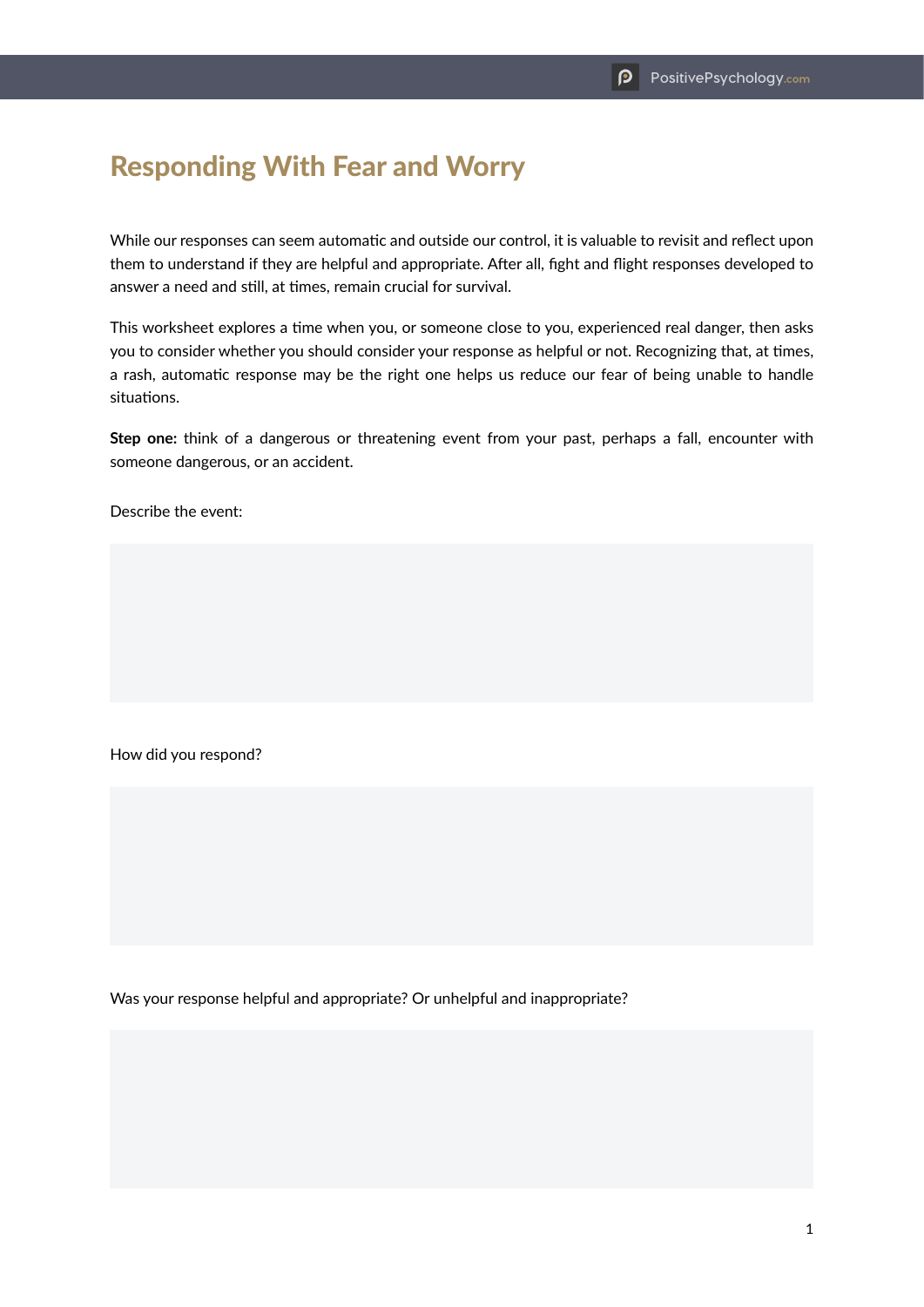## Responding With Fear and Worry

While our responses can seem automatic and outside our control, it is valuable to revisit and reflect upon them to understand if they are helpful and appropriate. After all, fight and flight responses developed to answer a need and still, at times, remain crucial for survival.

This worksheet explores a time when you, or someone close to you, experienced real danger, then asks you to consider whether you should consider your response as helpful or not. Recognizing that, at times, a rash, automatic response may be the right one helps us reduce our fear of being unable to handle situations.

**Step one:** think of a dangerous or threatening event from your past, perhaps a fall, encounter with someone dangerous, or an accident.

Describe the event:

How did you respond?

Was your response helpful and appropriate? Or unhelpful and inappropriate?